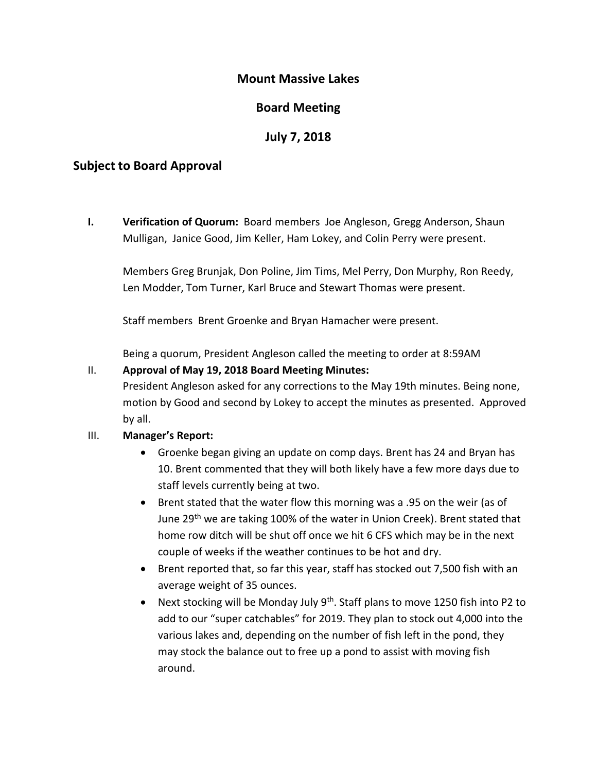## **Mount Massive Lakes**

# **Board Meeting**

## **July 7, 2018**

## **Subject to Board Approval**

**I. Verification of Quorum:** Board members Joe Angleson, Gregg Anderson, Shaun Mulligan, Janice Good, Jim Keller, Ham Lokey, and Colin Perry were present.

Members Greg Brunjak, Don Poline, Jim Tims, Mel Perry, Don Murphy, Ron Reedy, Len Modder, Tom Turner, Karl Bruce and Stewart Thomas were present.

Staff members Brent Groenke and Bryan Hamacher were present.

Being a quorum, President Angleson called the meeting to order at 8:59AM

## II. **Approval of May 19, 2018 Board Meeting Minutes:**

President Angleson asked for any corrections to the May 19th minutes. Being none, motion by Good and second by Lokey to accept the minutes as presented. Approved by all.

#### III. **Manager's Report:**

- Groenke began giving an update on comp days. Brent has 24 and Bryan has 10. Brent commented that they will both likely have a few more days due to staff levels currently being at two.
- Brent stated that the water flow this morning was a .95 on the weir (as of June 29<sup>th</sup> we are taking 100% of the water in Union Creek). Brent stated that home row ditch will be shut off once we hit 6 CFS which may be in the next couple of weeks if the weather continues to be hot and dry.
- Brent reported that, so far this year, staff has stocked out 7,500 fish with an average weight of 35 ounces.
- Next stocking will be Monday July  $9^{th}$ . Staff plans to move 1250 fish into P2 to add to our "super catchables" for 2019. They plan to stock out 4,000 into the various lakes and, depending on the number of fish left in the pond, they may stock the balance out to free up a pond to assist with moving fish around.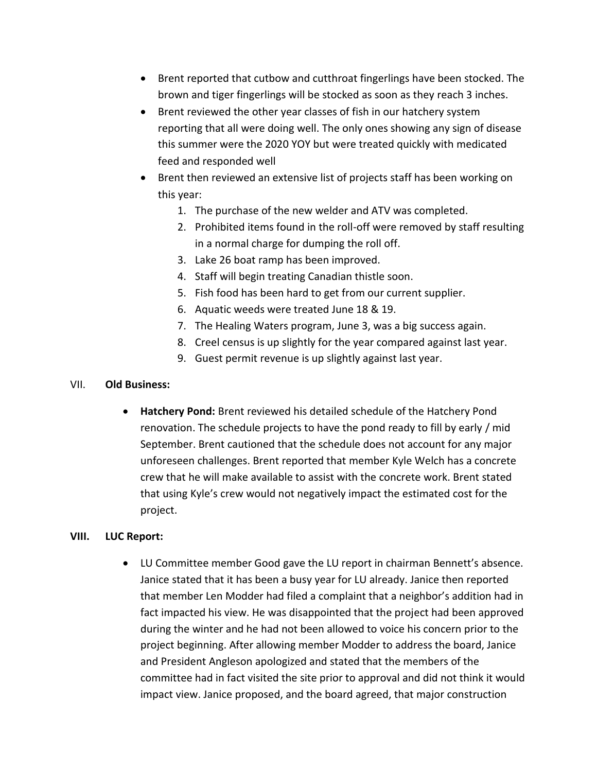- Brent reported that cutbow and cutthroat fingerlings have been stocked. The brown and tiger fingerlings will be stocked as soon as they reach 3 inches.
- Brent reviewed the other year classes of fish in our hatchery system reporting that all were doing well. The only ones showing any sign of disease this summer were the 2020 YOY but were treated quickly with medicated feed and responded well
- Brent then reviewed an extensive list of projects staff has been working on this year:
	- 1. The purchase of the new welder and ATV was completed.
	- 2. Prohibited items found in the roll-off were removed by staff resulting in a normal charge for dumping the roll off.
	- 3. Lake 26 boat ramp has been improved.
	- 4. Staff will begin treating Canadian thistle soon.
	- 5. Fish food has been hard to get from our current supplier.
	- 6. Aquatic weeds were treated June 18 & 19.
	- 7. The Healing Waters program, June 3, was a big success again.
	- 8. Creel census is up slightly for the year compared against last year.
	- 9. Guest permit revenue is up slightly against last year.

#### VII. **Old Business:**

• **Hatchery Pond:** Brent reviewed his detailed schedule of the Hatchery Pond renovation. The schedule projects to have the pond ready to fill by early / mid September. Brent cautioned that the schedule does not account for any major unforeseen challenges. Brent reported that member Kyle Welch has a concrete crew that he will make available to assist with the concrete work. Brent stated that using Kyle's crew would not negatively impact the estimated cost for the project.

#### **VIII. LUC Report:**

• LU Committee member Good gave the LU report in chairman Bennett's absence. Janice stated that it has been a busy year for LU already. Janice then reported that member Len Modder had filed a complaint that a neighbor's addition had in fact impacted his view. He was disappointed that the project had been approved during the winter and he had not been allowed to voice his concern prior to the project beginning. After allowing member Modder to address the board, Janice and President Angleson apologized and stated that the members of the committee had in fact visited the site prior to approval and did not think it would impact view. Janice proposed, and the board agreed, that major construction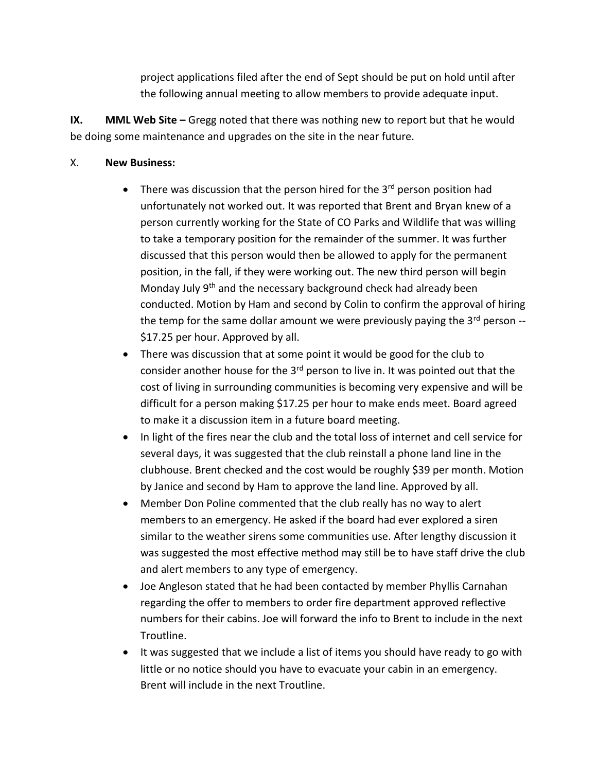project applications filed after the end of Sept should be put on hold until after the following annual meeting to allow members to provide adequate input.

**IX. MML Web Site –** Gregg noted that there was nothing new to report but that he would be doing some maintenance and upgrades on the site in the near future.

### X. **New Business:**

- There was discussion that the person hired for the  $3<sup>rd</sup>$  person position had unfortunately not worked out. It was reported that Brent and Bryan knew of a person currently working for the State of CO Parks and Wildlife that was willing to take a temporary position for the remainder of the summer. It was further discussed that this person would then be allowed to apply for the permanent position, in the fall, if they were working out. The new third person will begin Monday July 9<sup>th</sup> and the necessary background check had already been conducted. Motion by Ham and second by Colin to confirm the approval of hiring the temp for the same dollar amount we were previously paying the  $3<sup>rd</sup>$  person --\$17.25 per hour. Approved by all.
- There was discussion that at some point it would be good for the club to consider another house for the  $3<sup>rd</sup>$  person to live in. It was pointed out that the cost of living in surrounding communities is becoming very expensive and will be difficult for a person making \$17.25 per hour to make ends meet. Board agreed to make it a discussion item in a future board meeting.
- In light of the fires near the club and the total loss of internet and cell service for several days, it was suggested that the club reinstall a phone land line in the clubhouse. Brent checked and the cost would be roughly \$39 per month. Motion by Janice and second by Ham to approve the land line. Approved by all.
- Member Don Poline commented that the club really has no way to alert members to an emergency. He asked if the board had ever explored a siren similar to the weather sirens some communities use. After lengthy discussion it was suggested the most effective method may still be to have staff drive the club and alert members to any type of emergency.
- Joe Angleson stated that he had been contacted by member Phyllis Carnahan regarding the offer to members to order fire department approved reflective numbers for their cabins. Joe will forward the info to Brent to include in the next Troutline.
- It was suggested that we include a list of items you should have ready to go with little or no notice should you have to evacuate your cabin in an emergency. Brent will include in the next Troutline.